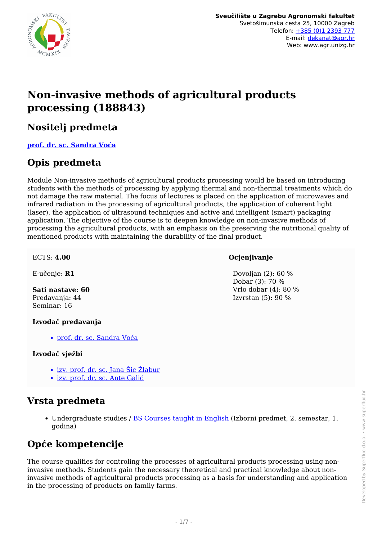

# **Non-invasive methods of agricultural products processing (188843)**

### **Nositelj predmeta**

**[prof. dr. sc. Sandra Voća](/hr/member/96)**

### **Opis predmeta**

Module Non-invasive methods of agricultural products processing would be based on introducing students with the methods of processing by applying thermal and non-thermal treatments which do not damage the raw material. The focus of lectures is placed on the application of microwaves and infrared radiation in the processing of agricultural products, the application of coherent light (laser), the application of ultrasound techniques and active and intelligent (smart) packaging application. The objective of the course is to deepen knowledge on non-invasive methods of processing the agricultural products, with an emphasis on the preserving the nutritional quality of mentioned products with maintaining the durability of the final product.

#### ECTS: **4.00**

E-učenje: **R1**

#### **Sati nastave: 60** Predavanja: 44 Seminar: 16

#### **Izvođač predavanja**

[prof. dr. sc. Sandra Voća](/hr/member/96)

#### **Izvođač vježbi**

- [izv. prof. dr. sc. Jana Šic Žlabur](/hr/member/229)
- [izv. prof. dr. sc. Ante Galić](/hr/member/188)

### **Vrsta predmeta**

Undergraduate studies / [BS Courses taught in English](/hr/study/en/4/BS+Courses+taught+in+English) (Izborni predmet, 2. semestar, 1. godina)

## **Opće kompetencije**

The course qualifies for controling the processes of agricultural products processing using noninvasive methods. Students gain the necessary theoretical and practical knowledge about noninvasive methods of agricultural products processing as a basis for understanding and application in the processing of products on family farms.

### **Ocjenjivanje**

 Dovoljan (2): 60 % Dobar (3): 70 % Vrlo dobar (4): 80 % Izvrstan (5): 90 %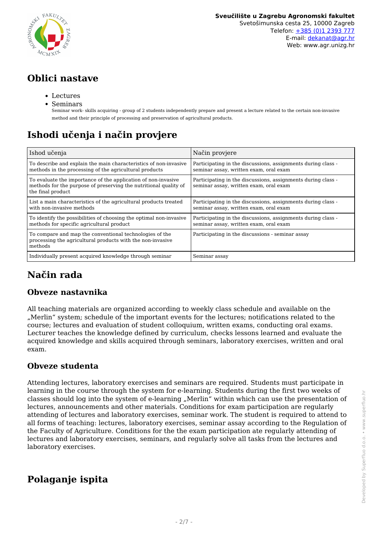

## **Oblici nastave**

- Lectures
- Seminars

Seminar work- skills acquiring - group of 2 students independently prepare and present a lecture related to the certain non-invasive method and their principle of processing and preservation of agricultural products.

# **Ishodi učenja i način provjere**

| Ishod učenja                                                                                                                                           | Način provjere                                                                                         |
|--------------------------------------------------------------------------------------------------------------------------------------------------------|--------------------------------------------------------------------------------------------------------|
| To describe and explain the main characteristics of non-invasive<br>methods in the processing of the agricultural products                             | Participating in the discussions, assignments during class -<br>seminar assay, written exam, oral exam |
| To evaluate the importance of the application of non-invasive<br>methods for the purpose of preserving the nutritional quality of<br>the final product | Participating in the discussions, assignments during class -<br>seminar assay, written exam, oral exam |
| List a main characteristics of the agricultural products treated<br>with non-invasive methods                                                          | Participating in the discussions, assignments during class -<br>seminar assay, written exam, oral exam |
| To identify the possibilities of choosing the optimal non-invasive<br>methods for specific agricultural product                                        | Participating in the discussions, assignments during class -<br>seminar assay, written exam, oral exam |
| To compare and map the conventional technologies of the<br>processing the agricultural products with the non-invasive<br>methods                       | Participating in the discussions - seminar assay                                                       |
| Individually present acquired knowledge through seminar                                                                                                | Seminar assay                                                                                          |

# **Način rada**

### **Obveze nastavnika**

All teaching materials are organized according to weekly class schedule and available on the "Merlin" system; schedule of the important events for the lectures; notifications related to the course; lectures and evaluation of student colloquium, written exams, conducting oral exams. Lecturer teaches the knowledge defined by curriculum, checks lessons learned and evaluate the acquired knowledge and skills acquired through seminars, laboratory exercises, written and oral exam.

### **Obveze studenta**

Attending lectures, laboratory exercises and seminars are required. Students must participate in learning in the course through the system for e-learning. Students during the first two weeks of classes should log into the system of e-learning "Merlin" within which can use the presentation of lectures, announcements and other materials. Conditions for exam participation are regularly attending of lectures and laboratory exercises, seminar work. The student is required to attend to all forms of teaching: lectures, laboratory exercises, seminar assay according to the Regulation of the Faculty of Agriculture. Conditions for the the exam participation ate regularly attending of lectures and laboratory exercises, seminars, and regularly solve all tasks from the lectures and laboratory exercises.

## **Polaganje ispita**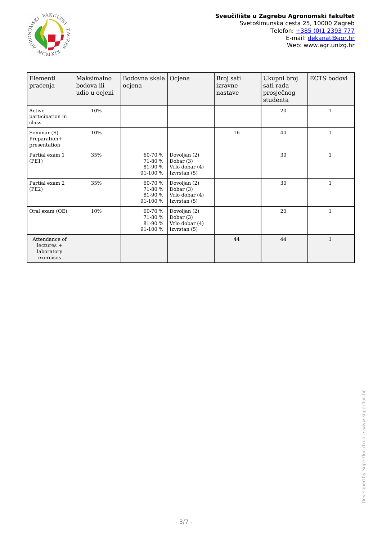

| Elementi<br>praćenja                                     | Maksimalno<br>bodova ili<br>udio u ocjeni | Bodovna skala<br>ocjena                   | Ocjena                                                          | Broj sati<br>izravne<br>nastave | Ukupni broj<br>sati rada<br>prosječnog<br>studenta | ECTS bodovi  |
|----------------------------------------------------------|-------------------------------------------|-------------------------------------------|-----------------------------------------------------------------|---------------------------------|----------------------------------------------------|--------------|
| Active<br>participation in<br>class                      | 10%                                       |                                           |                                                                 |                                 | 20                                                 | $\mathbf{1}$ |
| Seminar (S)<br>Preparation+<br>presentation              | 10%                                       |                                           |                                                                 | 16                              | 40                                                 | $\mathbf{1}$ |
| Partial exam 1<br>(PE1)                                  | 35%                                       | 60-70 %<br>71-80 %<br>81-90 %<br>91-100 % | Dovoljan (2)<br>Dobar $(3)$<br>Vrlo dobar (4)<br>Izvrstan $(5)$ |                                 | 30                                                 | $\mathbf{1}$ |
| Partial exam 2<br>(PE2)                                  | 35%                                       | 60-70 %<br>71-80 %<br>81-90 %<br>91-100 % | Dovoljan (2)<br>Dobar $(3)$<br>Vrlo dobar (4)<br>Izvrstan $(5)$ |                                 | 30                                                 | $\mathbf{1}$ |
| Oral exam (OE)                                           | 10%                                       | 60-70 %<br>71-80 %<br>81-90 %<br>91-100 % | Dovoljan (2)<br>Dobar (3)<br>Vrlo dobar (4)<br>Izvrstan (5)     |                                 | 20                                                 | $\mathbf{1}$ |
| Attendance of<br>$lectures +$<br>laboratory<br>exercises |                                           |                                           |                                                                 | 44                              | 44                                                 | $\mathbf{1}$ |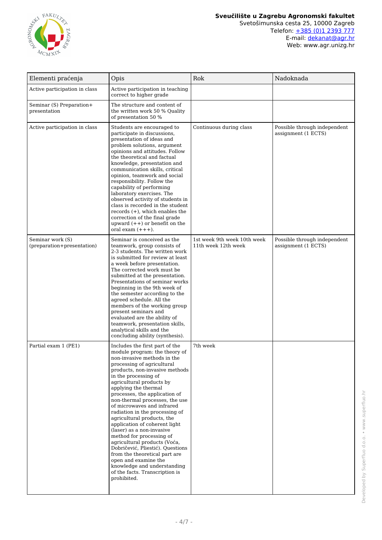

#### **Sveučilište u Zagrebu Agronomski fakultet** Svetošimunska cesta 25, 10000 Zagreb Telefon: [+385 \(0\)1 2393 777](tel:+38512393777) E-mail: **[dekanat@agr.hr](mailto:dekanat@agr.hr)**

Web: www.agr.unizg.hr

| Elementi praćenja                              | Opis                                                                                                                                                                                                                                                                                                                                                                                                                                                                                                                                                                                                                                                                                                               | Rok                                                | Nadoknada                                           |
|------------------------------------------------|--------------------------------------------------------------------------------------------------------------------------------------------------------------------------------------------------------------------------------------------------------------------------------------------------------------------------------------------------------------------------------------------------------------------------------------------------------------------------------------------------------------------------------------------------------------------------------------------------------------------------------------------------------------------------------------------------------------------|----------------------------------------------------|-----------------------------------------------------|
| Active participation in class                  | Active participation in teaching<br>correct to higher grade                                                                                                                                                                                                                                                                                                                                                                                                                                                                                                                                                                                                                                                        |                                                    |                                                     |
| Seminar (S) Preparation+<br>presentation       | The structure and content of<br>the written work 50 % Quality<br>of presentation 50 $\%$                                                                                                                                                                                                                                                                                                                                                                                                                                                                                                                                                                                                                           |                                                    |                                                     |
| Active participation in class                  | Students are encouraged to<br>participate in discussions,<br>presentation of ideas and<br>problem solutions, argument<br>opinions and attitudes. Follow<br>the theoretical and factual<br>knowledge, presentation and<br>communication skills, critical<br>opinion, teamwork and social<br>responsibility. Follow the<br>capability of performing<br>laboratory exercises. The<br>observed activity of students in<br>class is recorded in the student<br>records $(+)$ , which enables the<br>correction of the final grade<br>upward $(++)$ or benefit on the<br>oral exam $(+++)$ .                                                                                                                             | Continuous during class                            | Possible through independent<br>assignment (1 ECTS) |
| Seminar work (S)<br>(preparation+presentation) | Seminar is conceived as the<br>teamwork, group consists of<br>2-3 students. The written work<br>is submitted for review at least<br>a week before presentation.<br>The corrected work must be<br>submitted at the presentation.<br>Presentations of seminar works<br>beginning in the 9th week of<br>the semester according to the<br>agreed schedule. All the<br>members of the working group<br>present seminars and<br>evaluated are the ability of<br>teamwork, presentation skills,<br>analytical skills and the<br>concluding ability (synthesis).                                                                                                                                                           | 1st week 9th week 10th week<br>11th week 12th week | Possible through independent<br>assignment (1 ECTS) |
| Partial exam 1 (PE1)                           | Includes the first part of the<br>module program: the theory of<br>non-invasive methods in the<br>processing of agricultural<br>products, non-invasive methods<br>in the processing of<br>agricultural products by<br>applying the thermal<br>processes, the application of<br>non-thermal processes, the use<br>of microwaves and infrared<br>radiation in the processing of<br>agricultural products, the<br>application of coherent light<br>(laser) as a non-invasive<br>method for processing of<br>agricultural products (Voća,<br>Dobričević, Pliestić). Questions<br>from the theoretical part are<br>open and examine the<br>knowledge and understanding<br>of the facts. Transcription is<br>prohibited. | 7th week                                           |                                                     |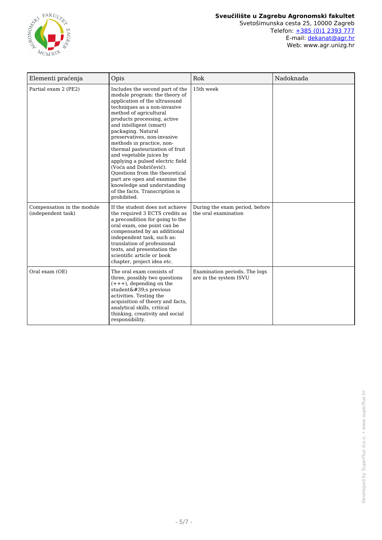

E-mail: **[dekanat@agr.hr](mailto:dekanat@agr.hr)** Web: www.agr.unizg.hr

| Elementi praćenja                                | Opis                                                                                                                                                                                                                                                                                                                                                                                                                                                                                                                                                                                   | Rok                                                     | Nadoknada |
|--------------------------------------------------|----------------------------------------------------------------------------------------------------------------------------------------------------------------------------------------------------------------------------------------------------------------------------------------------------------------------------------------------------------------------------------------------------------------------------------------------------------------------------------------------------------------------------------------------------------------------------------------|---------------------------------------------------------|-----------|
| Partial exam 2 (PE2)                             | Includes the second part of the<br>module program: the theory of<br>application of the ultrasound<br>techniques as a non-invasive<br>method of agricultural<br>products processing, active<br>and intelligent (smart)<br>packaging. Natural<br>preservatives, non-invasive<br>methods in practice, non-<br>thermal pasteurization of fruit<br>and vegetable juices by<br>applying a pulsed electric field<br>(Voća and Dobričević).<br>Questions from the theoretical<br>part are open and examine the<br>knowledge and understanding<br>of the facts. Transcription is<br>prohibited. | 15th week                                               |           |
| Compensation in the module<br>(independent task) | If the student does not achieve<br>the required 3 ECTS credits as<br>a precondition for going to the<br>oral exam, one point can be<br>compensated by an additional<br>independent task, such as:<br>translation of professional<br>texts, and presentation the<br>scientific article or book<br>chapter, project idea etc.                                                                                                                                                                                                                                                            | During the exam period, before<br>the oral examination  |           |
| Oral exam (OE)                                   | The oral exam consists of<br>three, possibly two questions<br>$(+++)$ , depending on the<br>student's previous<br>activities. Testing the<br>acquisition of theory and facts,<br>analytical skills, critical<br>thinking, creativity and social<br>responsibility.                                                                                                                                                                                                                                                                                                                     | Examination periods. The logs<br>are in the system ISVU |           |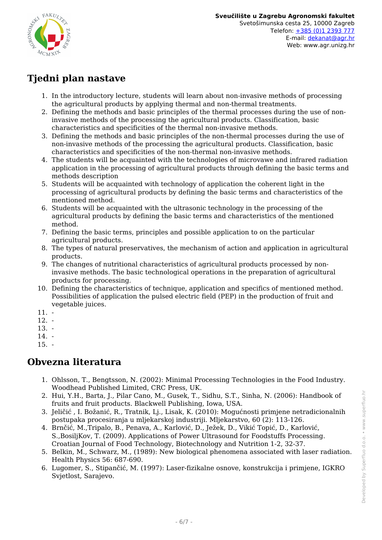

## **Tjedni plan nastave**

- 1. In the introductory lecture, students will learn about non-invasive methods of processing the agricultural products by applying thermal and non-thermal treatments.
- 2. Defining the methods and basic principles of the thermal processes during the use of noninvasive methods of the processing the agricultural products. Classification, basic characteristics and specificities of the thermal non-invasive methods.
- 3. Defining the methods and basic principles of the non-thermal processes during the use of non-invasive methods of the processing the agricultural products. Classification, basic characteristics and specificities of the non-thermal non-invasive methods.
- 4. The students will be acquainted with the technologies of microvawe and infrared radiation application in the processing of agricultural products through defining the basic terms and methods description
- 5. Students will be acquainted with technology of application the coherent light in the processing of agricultural products by defining the basic terms and characteristics of the mentioned method.
- 6. Students will be acquainted with the ultrasonic technology in the processing of the agricultural products by defining the basic terms and characteristics of the mentioned method.
- 7. Defining the basic terms, principles and possible application to on the particular agricultural products.
- 8. The types of natural preservatives, the mechanism of action and application in agricultural products.
- 9. The changes of nutritional characteristics of agricultural products processed by noninvasive methods. The basic technological operations in the preparation of agricultural products for processing.
- 10. Defining the characteristics of technique, application and specifics of mentioned method. Possibilities of application the pulsed electric field (PEP) in the production of fruit and vegetable juices.
- 11. -
- 12. -
- 13. -
- 14. -
- $15. -$

## **Obvezna literatura**

- 1. Ohlsson, T., Bengtsson, N. (2002): Minimal Processing Technologies in the Food Industry. Woodhead Published Limited, CRC Press, UK.
- 2. Hui, Y.H., Barta, J., Pilar Cano, M., Gusek, T., Sidhu, S.T., Sinha, N. (2006): Handbook of fruits and fruit products. Blackwell Publishing, Iowa, USA.
- 3. Jeličić , I. Božanić, R., Tratnik, Lj., Lisak, K. (2010): Mogućnosti primjene netradicionalnih postupaka procesiranja u mljekarskoj industriji. Mljekarstvo, 60 (2): 113-126.
- 4. Brnčić, M.,Tripalo, B., Penava, A., Karlović, D., Ježek, D., Vikić Topić, D., Karlović, S.,BosiljKov, T. (2009). Applications of Power Ultrasound for Foodstuffs Processing. Croatian Journal of Food Technology, Biotechnology and Nutrition 1-2, 32-37.
- 5. Belkin, M., Schwarz, M., (1989): New biological phenomena associated with laser radiation. Health Physics 56: 687-690.
- 6. Lugomer, S., Stipančić, M. (1997): Laser-fizikalne osnove, konstrukcija i primjene, IGKRO Svjetlost, Sarajevo.